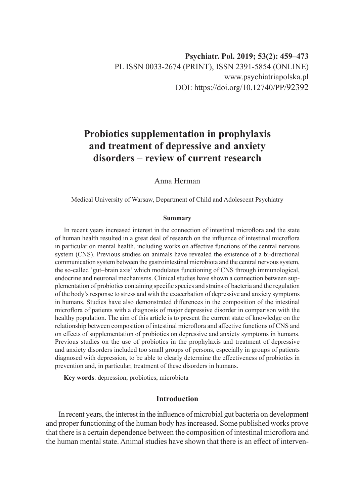# **Probiotics supplementation in prophylaxis and treatment of depressive and anxiety disorders – review of current research**

Anna Herman

Medical University of Warsaw, Department of Child and Adolescent Psychiatry

#### **Summary**

In recent years increased interest in the connection of intestinal microflora and the state of human health resulted in a great deal of research on the influence of intestinal microflora in particular on mental health, including works on affective functions of the central nervous system (CNS). Previous studies on animals have revealed the existence of a bi-directional communication system between the gastrointestinal microbiota and the central nervous system, the so-called 'gut–brain axis' which modulates functioning of CNS through immunological, endocrine and neuronal mechanisms. Clinical studies have shown a connection between supplementation of probiotics containing specific species and strains of bacteria and the regulation of the body's response to stress and with the exacerbation of depressive and anxiety symptoms in humans. Studies have also demonstrated differences in the composition of the intestinal microflora of patients with a diagnosis of major depressive disorder in comparison with the healthy population. The aim of this article is to present the current state of knowledge on the relationship between composition of intestinal microflora and affective functions of CNS and on effects of supplementation of probiotics on depressive and anxiety symptoms in humans. Previous studies on the use of probiotics in the prophylaxis and treatment of depressive and anxiety disorders included too small groups of persons, especially in groups of patients diagnosed with depression, to be able to clearly determine the effectiveness of probiotics in prevention and, in particular, treatment of these disorders in humans.

**Key words**: depression, probiotics, microbiota

# **Introduction**

In recent years, the interest in the influence of microbial gut bacteria on development and proper functioning of the human body has increased. Some published works prove that there is a certain dependence between the composition of intestinal microflora and the human mental state. Animal studies have shown that there is an effect of interven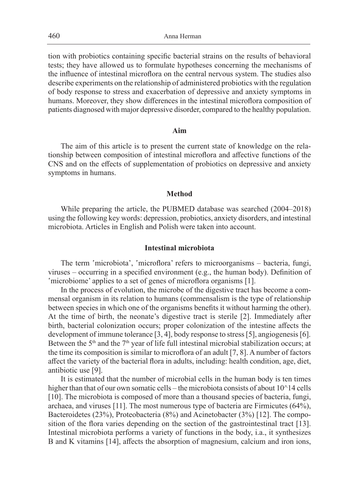tion with probiotics containing specific bacterial strains on the results of behavioral tests; they have allowed us to formulate hypotheses concerning the mechanisms of the influence of intestinal microflora on the central nervous system. The studies also describe experiments on the relationship of administered probiotics with the regulation of body response to stress and exacerbation of depressive and anxiety symptoms in humans. Moreover, they show differences in the intestinal microflora composition of patients diagnosed with major depressive disorder, compared to the healthy population.

## **Aim**

The aim of this article is to present the current state of knowledge on the relationship between composition of intestinal microflora and affective functions of the CNS and on the effects of supplementation of probiotics on depressive and anxiety symptoms in humans.

### **Method**

While preparing the article, the PUBMED database was searched (2004–2018) using the following key words: depression, probiotics, anxiety disorders, and intestinal microbiota. Articles in English and Polish were taken into account.

#### **Intestinal microbiota**

The term 'microbiota', 'microflora' refers to microorganisms – bacteria, fungi, viruses – occurring in a specified environment (e.g., the human body). Definition of 'microbiome' applies to a set of genes of microflora organisms [1].

In the process of evolution, the microbe of the digestive tract has become a commensal organism in its relation to humans (commensalism is the type of relationship between species in which one of the organisms benefits it without harming the other). At the time of birth, the neonate's digestive tract is sterile [2]. Immediately after birth, bacterial colonization occurs; proper colonization of the intestine affects the development of immune tolerance [3, 4], body response to stress [5], angiogenesis [6]. Between the  $5<sup>th</sup>$  and the  $7<sup>th</sup>$  year of life full intestinal microbial stabilization occurs; at the time its composition is similar to microflora of an adult [7, 8]. A number of factors affect the variety of the bacterial flora in adults, including: health condition, age, diet, antibiotic use [9].

It is estimated that the number of microbial cells in the human body is ten times higher than that of our own somatic cells – the microbiota consists of about  $10^{\wedge}14$  cells [10]. The microbiota is composed of more than a thousand species of bacteria, fungi, archaea, and viruses [11]. The most numerous type of bacteria are Firmicutes (64%), Bacteroidetes (23%), Proteobacteria (8%) and Acinetobacter (3%) [12]. The composition of the flora varies depending on the section of the gastrointestinal tract [13]. Intestinal microbiota performs a variety of functions in the body, i.a., it synthesizes B and K vitamins [14], affects the absorption of magnesium, calcium and iron ions,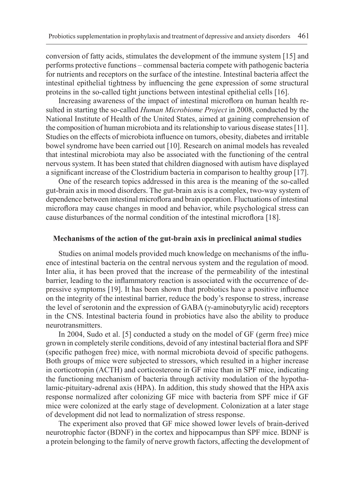conversion of fatty acids, stimulates the development of the immune system [15] and performs protective functions – commensal bacteria compete with pathogenic bacteria for nutrients and receptors on the surface of the intestine. Intestinal bacteria affect the intestinal epithelial tightness by influencing the gene expression of some structural proteins in the so-called tight junctions between intestinal epithelial cells [16].

Increasing awareness of the impact of intestinal microflora on human health resulted in starting the so-called *Human Microbiome Project* in 2008, conducted by the National Institute of Health of the United States, aimed at gaining comprehension of the composition of human microbiota and its relationship to various disease states [11]. Studies on the effects of microbiota influence on tumors, obesity, diabetes and irritable bowel syndrome have been carried out [10]. Research on animal models has revealed that intestinal microbiota may also be associated with the functioning of the central nervous system. It has been stated that children diagnosed with autism have displayed a significant increase of the Clostridium bacteria in comparison to healthy group [17].

One of the research topics addressed in this area is the meaning of the so-called gut-brain axis in mood disorders. The gut-brain axis is a complex, two-way system of dependence between intestinal microflora and brain operation. Fluctuations of intestinal microflora may cause changes in mood and behavior, while psychological stress can cause disturbances of the normal condition of the intestinal microflora [18].

## **Mechanisms of the action of the gut-brain axis in preclinical animal studies**

Studies on animal models provided much knowledge on mechanisms of the influence of intestinal bacteria on the central nervous system and the regulation of mood. Inter alia, it has been proved that the increase of the permeability of the intestinal barrier, leading to the inflammatory reaction is associated with the occurrence of depressive symptoms [19]. It has been shown that probiotics have a positive influence on the integrity of the intestinal barrier, reduce the body's response to stress, increase the level of serotonin and the expression of GABA (γ-aminobutyrylic acid) receptors in the CNS. Intestinal bacteria found in probiotics have also the ability to produce neurotransmitters.

In 2004, Sudo et al. [5] conducted a study on the model of GF (germ free) mice grown in completely sterile conditions, devoid of any intestinal bacterial flora and SPF (specific pathogen free) mice, with normal microbiota devoid of specific pathogens. Both groups of mice were subjected to stressors, which resulted in a higher increase in corticotropin (ACTH) and corticosterone in GF mice than in SPF mice, indicating the functioning mechanism of bacteria through activity modulation of the hypothalamic-pituitary-adrenal axis (HPA). In addition, this study showed that the HPA axis response normalized after colonizing GF mice with bacteria from SPF mice if GF mice were colonized at the early stage of development. Colonization at a later stage of development did not lead to normalization of stress response.

The experiment also proved that GF mice showed lower levels of brain-derived neurotrophic factor (BDNF) in the cortex and hippocampus than SPF mice. BDNF is a protein belonging to the family of nerve growth factors, affecting the development of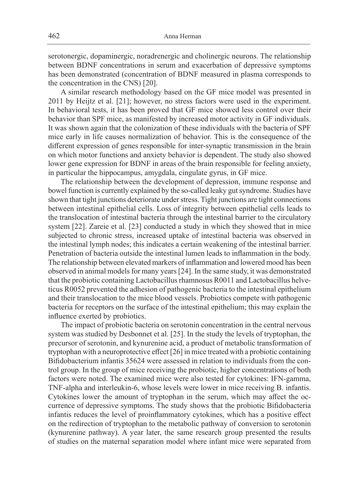serotonergic, dopaminergic, noradrenergic and cholinergic neurons. The relationship between BDNF concentrations in serum and exacerbation of depressive symptoms has been demonstrated (concentration of BDNF measured in plasma corresponds to the concentration in the CNS) [20].

A similar research methodology based on the GF mice model was presented in 2011 by Heijtz et al. [21]; however, no stress factors were used in the experiment. In behavioral tests, it has been proved that GF mice showed less control over their behavior than SPF mice, as manifested by increased motor activity in GF individuals. It was shown again that the colonization of these individuals with the bacteria of SPF mice early in life causes normalization of behavior. This is the consequence of the different expression of genes responsible for inter-synaptic transmission in the brain on which motor functions and anxiety behavior is dependent. The study also showed lower gene expression for BDNF in areas of the brain responsible for feeling anxiety, in particular the hippocampus, amygdala, cingulate gyrus, in GF mice.

The relationship between the development of depression, immune response and bowel function is currently explained by the so-called leaky gut syndrome. Studies have shown that tight junctions deteriorate under stress. Tight junctions are tight connections between intestinal epithelial cells. Loss of integrity between epithelial cells leads to the translocation of intestinal bacteria through the intestinal barrier to the circulatory system [22]. Zareie et al. [23] conducted a study in which they showed that in mice subjected to chronic stress, increased uptake of intestinal bacteria was observed in the intestinal lymph nodes; this indicates a certain weakening of the intestinal barrier. Penetration of bacteria outside the intestinal lumen leads to inflammation in the body. The relationship between elevated markers of inflammation and lowered mood has been observed in animal models for many years [24]. In the same study, it was demonstrated that the probiotic containing Lactobacillus rhamnosus R0011 and Lactobacillus helveticus R0052 prevented the adhesion of pathogenic bacteria to the intestinal epithelium and their translocation to the mice blood vessels. Probiotics compete with pathogenic bacteria for receptors on the surface of the intestinal epithelium; this may explain the influence exerted by probiotics.

The impact of probiotic bacteria on serotonin concentration in the central nervous system was studied by Desbonnet et al. [25]. In the study the levels of tryptophan, the precursor of serotonin, and kynurenine acid, a product of metabolic transformation of tryptophan with a neuroprotective effect [26] in mice treated with a probiotic containing Bifidobacterium infantis 35624 were assessed in relation to individuals from the control group. In the group of mice receiving the probiotic, higher concentrations of both factors were noted. The examined mice were also tested for cytokines: IFN-gamma, TNF-alpha and interleukin-6, whose levels were lower in mice receiving B. infantis. Cytokines lower the amount of tryptophan in the serum, which may affect the occurrence of depressive symptoms. The study shows that the probiotic Bifidobacteria infantis reduces the level of proinflammatory cytokines, which has a positive effect on the redirection of tryptophan to the metabolic pathway of conversion to serotonin (kynurenine pathway). A year later, the same research group presented the results of studies on the maternal separation model where infant mice were separated from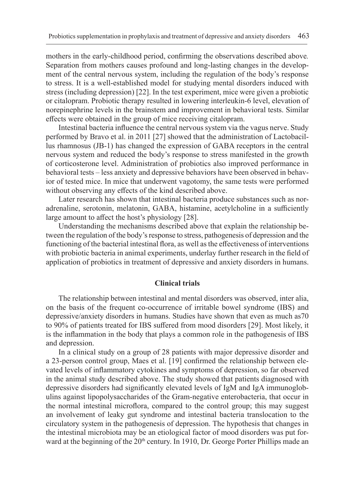mothers in the early-childhood period, confirming the observations described above*.* Separation from mothers causes profound and long-lasting changes in the development of the central nervous system, including the regulation of the body's response to stress. It is a well-established model for studying mental disorders induced with stress (including depression) [22]. In the test experiment, mice were given a probiotic or citalopram. Probiotic therapy resulted in lowering interleukin-6 level, elevation of norepinephrine levels in the brainstem and improvement in behavioral tests. Similar effects were obtained in the group of mice receiving citalopram.

Intestinal bacteria influence the central nervous system via the vagus nerve. Study performed by Bravo et al. in 2011 [27] showed that the administration of Lactobacillus rhamnosus (JB-1) has changed the expression of GABA receptors in the central nervous system and reduced the body's response to stress manifested in the growth of corticosterone level. Administration of probiotics also improved performance in behavioral tests – less anxiety and depressive behaviors have been observed in behavior of tested mice. In mice that underwent vagotomy, the same tests were performed without observing any effects of the kind described above.

Later research has shown that intestinal bacteria produce substances such as noradrenaline, serotonin, melatonin, GABA, histamine, acetylcholine in a sufficiently large amount to affect the host's physiology [28].

Understanding the mechanisms described above that explain the relationship between the regulation of the body's response to stress, pathogenesis of depression and the functioning of the bacterial intestinal flora, as well as the effectiveness of interventions with probiotic bacteria in animal experiments, underlay further research in the field of application of probiotics in treatment of depressive and anxiety disorders in humans.

# **Clinical trials**

The relationship between intestinal and mental disorders was observed, inter alia, on the basis of the frequent co-occurrence of irritable bowel syndrome (IBS) and depressive/anxiety disorders in humans. Studies have shown that even as much as70 to 90% of patients treated for IBS suffered from mood disorders [29]. Most likely, it is the inflammation in the body that plays a common role in the pathogenesis of IBS and depression.

In a clinical study on a group of 28 patients with major depressive disorder and a 23-person control group, Maes et al. [19] confirmed the relationship between elevated levels of inflammatory cytokines and symptoms of depression, so far observed in the animal study described above. The study showed that patients diagnosed with depressive disorders had significantly elevated levels of IgM and IgA immunoglobulins against lipopolysaccharides of the Gram-negative enterobacteria, that occur in the normal intestinal microflora, compared to the control group; this may suggest an involvement of leaky gut syndrome and intestinal bacteria translocation to the circulatory system in the pathogenesis of depression. The hypothesis that changes in the intestinal microbiota may be an etiological factor of mood disorders was put forward at the beginning of the 20<sup>th</sup> century. In 1910, Dr. George Porter Phillips made an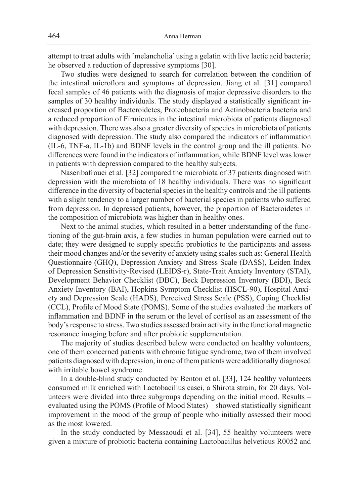attempt to treat adults with 'melancholia' using a gelatin with live lactic acid bacteria; he observed a reduction of depressive symptoms [30].

Two studies were designed to search for correlation between the condition of the intestinal microflora and symptoms of depression. Jiang et al. [31] compared fecal samples of 46 patients with the diagnosis of major depressive disorders to the samples of 30 healthy individuals. The study displayed a statistically significant increased proportion of Bacteroidetes, Proteobacteria and Actinobacteria bacteria and a reduced proportion of Firmicutes in the intestinal microbiota of patients diagnosed with depression. There was also a greater diversity of species in microbiota of patients diagnosed with depression. The study also compared the indicators of inflammation (IL-6, TNF-a, IL-1b) and BDNF levels in the control group and the ill patients. No differences were found in the indicators of inflammation, while BDNF level was lower in patients with depression compared to the healthy subjects.

Naseribafrouei et al. [32] compared the microbiota of 37 patients diagnosed with depression with the microbiota of 18 healthy individuals. There was no significant difference in the diversity of bacterial species in the healthy controls and the ill patients with a slight tendency to a larger number of bacterial species in patients who suffered from depression. In depressed patients, however, the proportion of Bacteroidetes in the composition of microbiota was higher than in healthy ones.

Next to the animal studies, which resulted in a better understanding of the functioning of the gut-brain axis, a few studies in human population were carried out to date; they were designed to supply specific probiotics to the participants and assess their mood changes and/or the severity of anxiety using scales such as: General Health Questionnaire (GHQ), Depression Anxiety and Stress Scale (DASS), Leiden Index of Depression Sensitivity-Revised (LEIDS-r), State-Trait Anxiety Inventory (STAI), Development Behavior Checklist (DBC), Beck Depression Inventory (BDI), Beck Anxiety Inventory (BAI), Hopkins Symptom Checklist (HSCL-90), Hospital Anxiety and Depression Scale (HADS), Perceived Stress Scale (PSS), Coping Checklist (CCL), Profile of Mood State (POMS). Some of the studies evaluated the markers of inflammation and BDNF in the serum or the level of cortisol as an assessment of the body's response to stress. Two studies assessed brain activity in the functional magnetic resonance imaging before and after probiotic supplementation.

The majority of studies described below were conducted on healthy volunteers, one of them concerned patients with chronic fatigue syndrome, two of them involved patients diagnosed with depression, in one of them patients were additionally diagnosed with irritable bowel syndrome.

In a double-blind study conducted by Benton et al. [33], 124 healthy volunteers consumed milk enriched with Lactobacillus casei, a Shirota strain, for 20 days. Volunteers were divided into three subgroups depending on the initial mood. Results – evaluated using the POMS (Profile of Mood States) – showed statistically significant improvement in the mood of the group of people who initially assessed their mood as the most lowered.

In the study conducted by Messaoudi et al. [34], 55 healthy volunteers were given a mixture of probiotic bacteria containing Lactobacillus helveticus R0052 and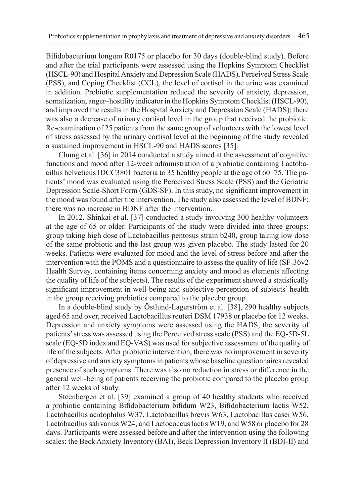Bifidobacterium longum R0175 or placebo for 30 days (double-blind study). Before and after the trial participants were assessed using the Hopkins Symptom Checklist (HSCL-90) and Hospital Anxiety and Depression Scale (HADS), Perceived Stress Scale (PSS), and Coping Checklist (CCL), the level of cortisol in the urine was examined in addition. Probiotic supplementation reduced the severity of anxiety, depression, somatization, anger–hostility indicator in the Hopkins Symptom Checklist (HSCL-90), and improved the results in the Hospital Anxiety and Depression Scale (HADS); there was also a decrease of urinary cortisol level in the group that received the probiotic. Re-examination of 25 patients from the same group of volunteers with the lowest level of stress assessed by the urinary cortisol level at the beginning of the study revealed a sustained improvement in HSCL-90 and HADS scores [35].

Chung et al. [36] in 2014 conducted a study aimed at the assessment of cognitive functions and mood after 12-week administration of a probiotic containing Lactobacillus helveticus IDCC3801 bacteria to 35 healthy people at the age of 60–75. The patients' mood was evaluated using the Perceived Stress Scale (PSS) and the Geriatric Depression Scale-Short Form (GDS-SF). In this study, no significant improvement in the mood was found after the intervention. The study also assessed the level of BDNF; there was no increase in BDNF after the intervention.

In 2012, Shinkai et al. [37] conducted a study involving 300 healthy volunteers at the age of 65 or older. Participants of the study were divided into three groups: group taking high dose of Lactobacillus pentosus strain b240, group taking low dose of the same probiotic and the last group was given placebo. The study lasted for 20 weeks. Patients were evaluated for mood and the level of stress before and after the intervention with the POMS and a questionnaire to assess the quality of life (SF-36v2 Health Survey, containing items concerning anxiety and mood as elements affecting the quality of life of the subjects). The results of the experiment showed a statistically significant improvement in well-being and subjective perception of subjects' health in the group receiving probiotics compared to the placebo group.

In a double-blind study by Östlund-Lagerström et al. [38], 290 healthy subjects aged 65 and over, received Lactobacillus reuteri DSM 17938 or placebo for 12 weeks. Depression and anxiety symptoms were assessed using the HADS, the severity of patients' stress was assessed using the Perceived stress scale (PSS) and the EQ-5D-5L scale (EQ-5D index and EQ-VAS) was used for subjective assessment of the quality of life of the subjects. After probiotic intervention, there was no improvement in severity of depressive and anxiety symptoms in patients whose baseline questionnaires revealed presence of such symptoms. There was also no reduction in stress or difference in the general well-being of patients receiving the probiotic compared to the placebo group after 12 weeks of study.

Steenbergen et al. [39] examined a group of 40 healthy students who received a probiotic containing Bifidobacterium bifidum W23, Bifidobacterium lactis W52, Lactobacillus acidophilus W37, Lactobacillus brevis W63, Lactobacillus casei W56, Lactobacillus salivarius W24, and Lactococcus lactis W19, and W58 or placebo for 28 days. Participants were assessed before and after the intervention using the following scales: the Beck Anxiety Inventory (BAI), Beck Depression Inventory II (BDI-II) and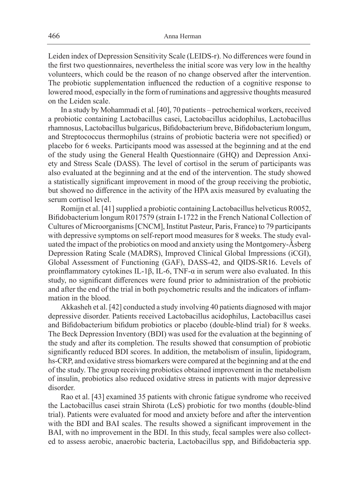Leiden index of Depression Sensitivity Scale (LEIDS-r). No differences were found in the first two questionnaires, nevertheless the initial score was very low in the healthy volunteers, which could be the reason of no change observed after the intervention. The probiotic supplementation influenced the reduction of a cognitive response to lowered mood, especially in the form of ruminations and aggressive thoughts measured on the Leiden scale.

In a study by Mohammadi et al. [40], 70 patients – petrochemical workers, received a probiotic containing Lactobacillus casei, Lactobacillus acidophilus, Lactobacillus rhamnosus, Lactobacillus bulgaricus, Bifidobacterium breve, Bifidobacterium longum, and Streptococcus thermophilus (strains of probiotic bacteria were not specified) or placebo for 6 weeks. Participants mood was assessed at the beginning and at the end of the study using the General Health Questionnaire (GHQ) and Depression Anxiety and Stress Scale (DASS). The level of cortisol in the serum of participants was also evaluated at the beginning and at the end of the intervention. The study showed a statistically significant improvement in mood of the group receiving the probiotic, but showed no difference in the activity of the HPA axis measured by evaluating the serum cortisol level.

Romijn et al. [41] supplied a probiotic containing Lactobacillus helveticus R0052, Bifidobacterium longum R017579 (strain I-1722 in the French National Collection of Cultures of Microorganisms [CNCM], Institut Pasteur, Paris, France) to 79 participants with depressive symptoms on self-report mood measures for 8 weeks. The study evaluated the impact of the probiotics on mood and anxiety using the Montgomery-Åsberg Depression Rating Scale (MADRS), Improved Clinical Global Impressions (iCGI), Global Assessment of Functioning (GAF), DASS-42, and QIDS-SR16. Levels of proinflammatory cytokines IL-1β, IL-6, TNF-α in serum were also evaluated. In this study, no significant differences were found prior to administration of the probiotic and after the end of the trial in both psychometric results and the indicators of inflammation in the blood.

Akkasheh et al. [42] conducted a study involving 40 patients diagnosed with major depressive disorder. Patients received Lactobacillus acidophilus, Lactobacillus casei and Bifidobacterium bifidum probiotics or placebo (double-blind trial) for 8 weeks. The Beck Depression Inventory (BDI) was used for the evaluation at the beginning of the study and after its completion. The results showed that consumption of probiotic significantly reduced BDI scores. In addition, the metabolism of insulin, lipidogram, hs-CRP, and oxidative stress biomarkers were compared at the beginning and at the end of the study. The group receiving probiotics obtained improvement in the metabolism of insulin, probiotics also reduced oxidative stress in patients with major depressive disorder.

Rao et al. [43] examined 35 patients with chronic fatigue syndrome who received the Lactobacillus casei strain Shirota (LcS) probiotic for two months (double-blind trial). Patients were evaluated for mood and anxiety before and after the intervention with the BDI and BAI scales. The results showed a significant improvement in the BAI, with no improvement in the BDI. In this study, fecal samples were also collected to assess aerobic, anaerobic bacteria, Lactobacillus spp, and Bifidobacteria spp.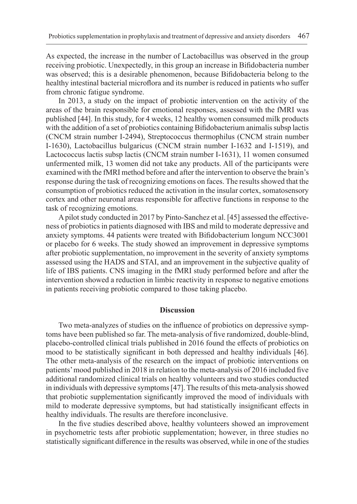As expected, the increase in the number of Lactobacillus was observed in the group receiving probiotic. Unexpectedly, in this group an increase in Bifidobacteria number was observed; this is a desirable phenomenon, because Bifidobacteria belong to the healthy intestinal bacterial microflora and its number is reduced in patients who suffer from chronic fatigue syndrome.

In 2013, a study on the impact of probiotic intervention on the activity of the areas of the brain responsible for emotional responses, assessed with the fMRI was published [44]. In this study, for 4 weeks, 12 healthy women consumed milk products with the addition of a set of probiotics containing Bifidobacterium animalis subsp lactis (CNCM strain number I-2494), Streptococcus thermophilus (CNCM strain number I-1630), Lactobacillus bulgaricus (CNCM strain number I-1632 and I-1519), and Lactococcus lactis subsp lactis (CNCM strain number I-1631), 11 women consumed unfermented milk, 13 women did not take any products. All of the participants were examined with the fMRI method before and after the intervention to observe the brain's response during the task of recognizing emotions on faces. The results showed that the consumption of probiotics reduced the activation in the insular cortex, somatosensory cortex and other neuronal areas responsible for affective functions in response to the task of recognizing emotions.

A pilot study conducted in 2017 by Pinto-Sanchez et al. [45] assessed the effectiveness of probiotics in patients diagnosed with IBS and mild to moderate depressive and anxiety symptoms. 44 patients were treated with Bifidobacterium longum NCC3001 or placebo for 6 weeks. The study showed an improvement in depressive symptoms after probiotic supplementation, no improvement in the severity of anxiety symptoms assessed using the HADS and STAI, and an improvement in the subjective quality of life of IBS patients. CNS imaging in the fMRI study performed before and after the intervention showed a reduction in limbic reactivity in response to negative emotions in patients receiving probiotic compared to those taking placebo.

## **Discussion**

Two meta-analyzes of studies on the influence of probiotics on depressive symptoms have been published so far. The meta-analysis of five randomized, double-blind, placebo-controlled clinical trials published in 2016 found the effects of probiotics on mood to be statistically significant in both depressed and healthy individuals [46]. The other meta-analysis of the research on the impact of probiotic interventions on patients' mood published in 2018 in relation to the meta-analysis of 2016 included five additional randomized clinical trials on healthy volunteers and two studies conducted in individuals with depressive symptoms [47]. The results of this meta-analysis showed that probiotic supplementation significantly improved the mood of individuals with mild to moderate depressive symptoms, but had statistically insignificant effects in healthy individuals. The results are therefore inconclusive.

In the five studies described above, healthy volunteers showed an improvement in psychometric tests after probiotic supplementation; however, in three studies no statistically significant difference in the results was observed, while in one of the studies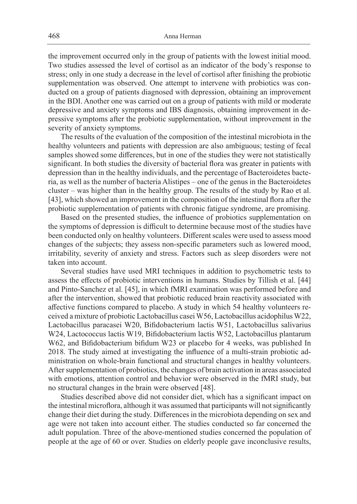the improvement occurred only in the group of patients with the lowest initial mood. Two studies assessed the level of cortisol as an indicator of the body's response to stress; only in one study a decrease in the level of cortisol after finishing the probiotic supplementation was observed. One attempt to intervene with probiotics was conducted on a group of patients diagnosed with depression, obtaining an improvement in the BDI. Another one was carried out on a group of patients with mild or moderate depressive and anxiety symptoms and IBS diagnosis, obtaining improvement in depressive symptoms after the probiotic supplementation, without improvement in the severity of anxiety symptoms.

The results of the evaluation of the composition of the intestinal microbiota in the healthy volunteers and patients with depression are also ambiguous; testing of fecal samples showed some differences, but in one of the studies they were not statistically significant. In both studies the diversity of bacterial flora was greater in patients with depression than in the healthy individuals, and the percentage of Bacteroidetes bacteria, as well as the number of bacteria Alistipes – one of the genus in the Bacteroidetes cluster – was higher than in the healthy group. The results of the study by Rao et al. [43], which showed an improvement in the composition of the intestinal flora after the probiotic supplementation of patients with chronic fatigue syndrome, are promising.

Based on the presented studies, the influence of probiotics supplementation on the symptoms of depression is difficult to determine because most of the studies have been conducted only on healthy volunteers. Different scales were used to assess mood changes of the subjects; they assess non-specific parameters such as lowered mood, irritability, severity of anxiety and stress. Factors such as sleep disorders were not taken into account.

Several studies have used MRI techniques in addition to psychometric tests to assess the effects of probiotic interventions in humans. Studies by Tillish et al. [44] and Pinto-Sanchez et al. [45], in which fMRI examination was performed before and after the intervention, showed that probiotic reduced brain reactivity associated with affective functions compared to placebo. A study in which 54 healthy volunteers received a mixture of probiotic Lactobacillus casei W56, Lactobacillus acidophilus W22, Lactobacillus paracasei W20, Bifidobacterium lactis W51, Lactobacillus salivarius W24, Lactococcus lactis W19, Bifidobacterium lactis W52, Lactobacillus plantarum W62, and Bifidobacterium bifidum W23 or placebo for 4 weeks, was published In 2018. The study aimed at investigating the influence of a multi-strain probiotic administration on whole-brain functional and structural changes in healthy volunteers. After supplementation of probiotics, the changes of brain activation in areas associated with emotions, attention control and behavior were observed in the fMRI study, but no structural changes in the brain were observed [48].

Studies described above did not consider diet, which has a significant impact on the intestinal microflora, although it was assumed that participants will not significantly change their diet during the study. Differences in the microbiota depending on sex and age were not taken into account either. The studies conducted so far concerned the adult population. Three of the above-mentioned studies concerned the population of people at the age of 60 or over. Studies on elderly people gave inconclusive results,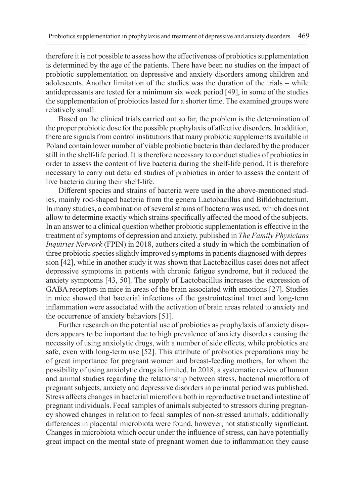therefore it is not possible to assess how the effectiveness of probiotics supplementation is determined by the age of the patients. There have been no studies on the impact of probiotic supplementation on depressive and anxiety disorders among children and adolescents. Another limitation of the studies was the duration of the trials – while antidepressants are tested for a minimum six week period [49], in some of the studies the supplementation of probiotics lasted for a shorter time. The examined groups were relatively small.

Based on the clinical trials carried out so far, the problem is the determination of the proper probiotic dose for the possible prophylaxis of affective disorders. In addition, there are signals from control institutions that many probiotic supplements available in Poland contain lower number of viable probiotic bacteria than declared by the producer still in the shelf-life period. It is therefore necessary to conduct studies of probiotics in order to assess the content of live bacteria during the shelf-life period. It is therefore necessary to carry out detailed studies of probiotics in order to assess the content of live bacteria during their shelf-life.

Different species and strains of bacteria were used in the above-mentioned studies, mainly rod-shaped bacteria from the genera Lactobacillus and Bifidobacterium. In many studies, a combination of several strains of bacteria was used, which does not allow to determine exactly which strains specifically affected the mood of the subjects. In an answer to a clinical question whether probiotic supplementation is effective in the treatment of symptoms of depression and anxiety, published in *The Family Physicians Inquiries Network* (FPIN) in 2018, authors cited a study in which the combination of three probiotic species slightly improved symptoms in patients diagnosed with depression [42], while in another study it was shown that Lactobacillus casei does not affect depressive symptoms in patients with chronic fatigue syndrome, but it reduced the anxiety symptoms [43, 50]. The supply of Lactobacillus increases the expression of GABA receptors in mice in areas of the brain associated with emotions [27]. Studies in mice showed that bacterial infections of the gastrointestinal tract and long-term inflammation were associated with the activation of brain areas related to anxiety and the occurrence of anxiety behaviors [51].

Further research on the potential use of probiotics as prophylaxis of anxiety disorders appears to be important due to high prevalence of anxiety disorders causing the necessity of using anxiolytic drugs, with a number of side effects, while probiotics are safe, even with long-term use [52]. This attribute of probiotics preparations may be of great importance for pregnant women and breast-feeding mothers, for whom the possibility of using anxiolytic drugs is limited. In 2018, a systematic review of human and animal studies regarding the relationship between stress, bacterial microflora of pregnant subjects, anxiety and depressive disorders in perinatal period was published. Stress affects changes in bacterial microflora both in reproductive tract and intestine of pregnant individuals. Fecal samples of animals subjected to stressors during pregnancy showed changes in relation to fecal samples of non-stressed animals, additionally differences in placental microbiota were found, however, not statistically significant. Changes in microbiota which occur under the influence of stress, can have potentially great impact on the mental state of pregnant women due to inflammation they cause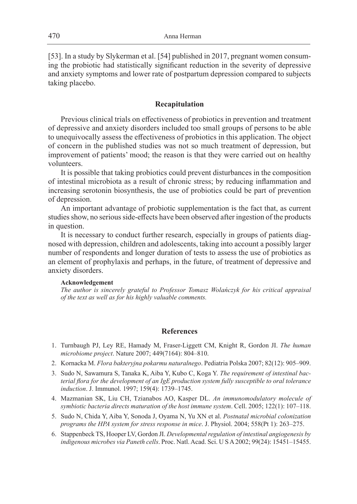[53]. In a study by Slykerman et al. [54] published in 2017, pregnant women consuming the probiotic had statistically significant reduction in the severity of depressive and anxiety symptoms and lower rate of postpartum depression compared to subjects taking placebo.

## **Recapitulation**

Previous clinical trials on effectiveness of probiotics in prevention and treatment of depressive and anxiety disorders included too small groups of persons to be able to unequivocally assess the effectiveness of probiotics in this application. The object of concern in the published studies was not so much treatment of depression, but improvement of patients' mood; the reason is that they were carried out on healthy volunteers.

It is possible that taking probiotics could prevent disturbances in the composition of intestinal microbiota as a result of chronic stress; by reducing inflammation and increasing serotonin biosynthesis, the use of probiotics could be part of prevention of depression.

An important advantage of probiotic supplementation is the fact that, as current studies show, no serious side-effects have been observed after ingestion of the products in question.

It is necessary to conduct further research, especially in groups of patients diagnosed with depression, children and adolescents, taking into account a possibly larger number of respondents and longer duration of tests to assess the use of probiotics as an element of prophylaxis and perhaps, in the future, of treatment of depressive and anxiety disorders.

#### **Acknowledgement**

*The author is sincerely grateful to Professor Tomasz Wolańczyk for his critical appraisal of the text as well as for his highly valuable comments.*

## **References**

- 1. Turnbaugh PJ, Ley RE, Hamady M, Fraser-Liggett CM, Knight R, Gordon JI. *The human microbiome project*. Nature 2007; 449(7164): 804–810.
- 2. Kornacka M. *Flora bakteryjna pokarmu naturalnego*. Pediatria Polska 2007; 82(12): 905–909.
- 3. Sudo N, Sawamura S, Tanaka K, Aiba Y, Kubo C, Koga Y. *The requirement of intestinal bacterial flora for the development of an IgE production system fully susceptible to oral tolerance induction*. J. Immunol. 1997; 159(4): 1739–1745.
- 4. Mazmanian SK, Liu CH, Tzianabos AO, Kasper DL. *An immunomodulatory molecule of symbiotic bacteria directs maturation of the host immune system*. Cell. 2005; 122(1): 107–118.
- 5. Sudo N, Chida Y, Aiba Y, Sonoda J, Oyama N, Yu XN et al. *Postnatal microbial colonization programs the HPA system for stress response in mice*. J. Physiol. 2004; 558(Pt 1): 263–275.
- 6. Stappenbeck TS, Hooper LV, Gordon JI. *Developmental regulation of intestinal angiogenesis by indigenous microbes via Paneth cells*. Proc. Natl. Acad. Sci. U S A 2002; 99(24): 15451–15455.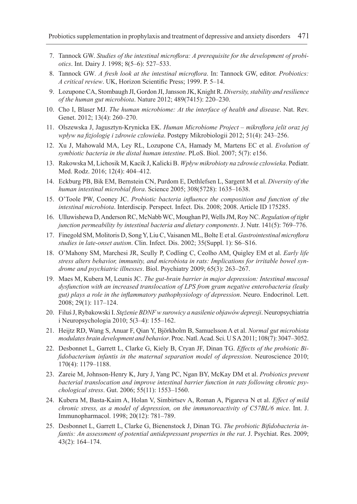- 7. Tannock GW. *Studies of the intestinal microflora: A prerequisite for the development of probiotics*. Int. Dairy J. 1998; 8(5–6): 527–533.
- 8. Tannock GW*. A fresh look at the intestinal microflora*. In: Tannock GW, editor. *Probiotics: A critical review*. UK, Horizon Scientific Press; 1999. P. 5–14.
- 9. Lozupone CA, Stombaugh JI, Gordon JI, Jansson JK, Knight R. *Diversity, stability and resilience of the human gut microbiota*. Nature 2012; 489(7415): 220–230.
- 10. Cho I, Blaser MJ. *The human microbiome: At the interface of health and disease*. Nat. Rev. Genet. 2012; 13(4): 260–270.
- 11. Olszewska J, Jagusztyn-Krynicka EK. *Human Microbiome Project mikroflora jelit oraz jej wpływ na fizjologię i zdrowie człowieka*. Postępy Mikrobiologii 2012; 51(4): 243–256.
- 12. Xu J, Mahowald MA, Ley RL, Lozupone CA, Hamady M, Martens EC et al. *Evolution of symbiotic bacteria in the distal human intestine*. PLoS. Biol. 2007; 5(7): e156.
- 13. Rakowska M, Lichosik M, Kacik J, Kalicki B. *Wpływ mikrobioty na zdrowie człowieka*. Pediatr. Med. Rodz. 2016; 12(4): 404–412.
- 14. Eckburg PB, Bik EM, Bernstein CN, Purdom E, Dethlefsen L, Sargent M et al. *Diversity of the human intestinal microbial flora*. Science 2005; 308(5728): 1635–1638.
- 15. O'Toole PW, Cooney JC. *Probiotic bacteria influence the composition and function of the intestinal microbiota*. Interdiscip. Perspect. Infect. Dis. 2008; 2008. Article ID 175285.
- 16. Ulluwishewa D, Anderson RC, McNabb WC, Moughan PJ, Wells JM, Roy NC. *Regulation of tight junction permeability by intestinal bacteria and dietary components*. J. Nutr. 141(5): 769–776.
- 17. Finegold SM, Molitoris D, Song Y, Liu C, Vaisanen ML, Bolte E et al. *Gastrointestinal microflora studies in late-onset autism*. Clin. Infect. Dis. 2002; 35(Suppl. 1): S6–S16.
- 18. O'Mahony SM, Marchesi JR, Scully P, Codling C, Ceolho AM, Quigley EM et al. *Early life stress alters behavior, immunity, and microbiota in rats: Implications for irritable bowel syndrome and psychiatric illnesses*. Biol. Psychiatry 2009; 65(3): 263–267.
- 19. Maes M, Kubera M, Leunis JC. *The gut-brain barrier in major depression: Intestinal mucosal dysfunction with an increased translocation of LPS from gram negative enterobacteria (leaky gut) plays a role in the inflammatory pathophysiology of depression*. Neuro. Endocrinol. Lett. 2008; 29(1): 117–124.
- 20. Filuś J, Rybakowski I. *Stężenie BDNF w surowicy a nasilenie objawów depresji*. Neuropsychiatria i Neuropsychologia 2010; 5(3–4): 155–162.
- 21. Heijtz RD, Wang S, Anuar F, Qian Y, Björkholm B, Samuelsson A et al. *Normal gut microbiota modulates brain development and behavior*. Proc. Natl. Acad. Sci. U S A 2011; 108(7): 3047–3052.
- 22. Desbonnet L, Garrett L, Clarke G, Kiely B, Cryan JF, Dinan TG. *Effects of the probiotic Bifidobacterium infantis in the maternal separation model of depression*. Neuroscience 2010; 170(4): 1179–1188.
- 23. Zareie M, Johnson-Henry K, Jury J, Yang PC, Ngan BY, McKay DM et al. *Probiotics prevent bacterial translocation and improve intestinal barrier function in rats following chronic psychological stress*. Gut. 2006; 55(11): 1553–1560.
- 24. Kubera M, Basta-Kaim A, Holan V, Simbirtsev A, Roman A, Pigareva N et al. *Effect of mild chronic stress, as a model of depression, on the immunoreactivity of C57BL/6 mice*. Int. J. Immunopharmacol. 1998; 20(12): 781–789.
- 25. Desbonnet L, Garrett L, Clarke G, Bienenstock J, Dinan TG. *The probiotic Bifidobacteria infantis: An assessment of potential antidepressant properties in the rat*. J. Psychiat. Res. 2009; 43(2): 164–174.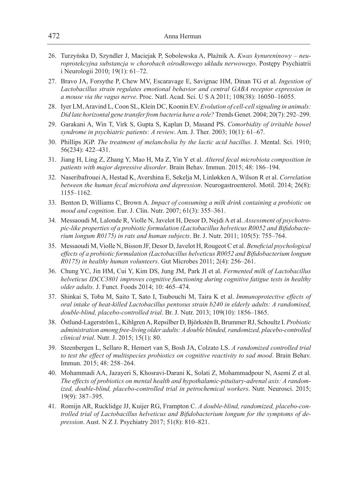- 26. Turzyńska D, Szyndler J, Maciejak P, Sobolewska A, Płaźnik A. *Kwas kynureninowy neuroprotekcyjna substancja w chorobach ośrodkowego układu nerwowego*. Postępy Psychiatrii i Neurologii 2010; 19(1): 61–72.
- 27. Bravo JA, Forsythe P, Chew MV, Escaravage E, Savignac HM, Dinan TG et al. *Ingestion of Lactobacillus strain regulates emotional behavior and central GABA receptor expression in a mouse via the vagus nerve*. Proc. Natl. Acad. Sci. U S A 2011; 108(38): 16050–16055.
- 28. Iyer LM, Aravind L, Coon SL, Klein DC, Koonin EV. *Evolution of cell-cell signaling in animals: Did late horizontal gene transfer from bacteria have a role?* Trends Genet. 2004; 20(7): 292–299.
- 29. Garakani A, Win T, Virk S, Gupta S, Kaplan D, Masand PS. *Comorbidity of irritable bowel syndrome in psychiatric patients: A review*. Am. J. Ther. 2003; 10(1): 61–67.
- 30. Phillips JGP. *The treatment of melancholia by the lactic acid bacillus*. J. Mental. Sci. 1910; 56(234): 422–431.
- 31. Jiang H, Ling Z, Zhang Y, Mao H, Ma Z, Yin Y et al. *Altered fecal microbiota composition in patients with major depressive disorder*. Brain Behav. Immun. 2015; 48: 186–194.
- 32. Naseribafrouei A, Hestad K, Avershina E, Sekelja M, Linløkken A, Wilson R et al. *Correlation between the human fecal microbiota and depression*. Neurogastroenterol. Motil. 2014; 26(8): 1155–1162.
- 33. Benton D, Williams C, Brown A. *Impact of consuming a milk drink containing a probiotic on mood and cognition*. Eur. J. Clin. Nutr. 2007; 61(3): 355–361.
- 34. Messaoudi M, Lalonde R, Violle N, Javelot H, Desor D, Nejdi A et al. *Assessment of psychotropic-like properties of a probiotic formulation (Lactobacillus helveticus R0052 and Bifidobacterium longum R0175) in rats and human subjects*. Br. J. Nutr. 2011; 105(5): 755–764.
- 35. Messaoudi M, Violle N, Bisson JF, Desor D, Javelot H, Rougeot C et al. *Beneficial psychological effects of a probiotic formulation (Lactobacillus helveticus R0052 and Bifidobacterium longum R0175) in healthy human volunteers*. Gut Microbes 2011; 2(4): 256–261.
- 36. Chung YC, Jin HM, Cui Y, Kim DS, Jung JM, Park JI et al. *Fermented milk of Lactobacillus helveticus IDCC3801 improves cognitive functioning during cognitive fatigue tests in healthy older adults.* J. Funct. Foods 2014; 10: 465–474.
- 37. Shinkai S, Toba M, Saito T, Sato I, Tsubouchi M, Taira K et al. *Immunoprotective effects of oral intake of heat-killed Lactobacillus pentosus strain b240 in elderly adults: A randomised, double-blind, placebo-controlled trial*. Br. J. Nutr. 2013; 109(10): 1856–1865.
- 38. Östlund-Lagerström L, Kihlgren A, Repsilber D, Björkstén B, Brummer RJ, Schoultz I. *Probiotic administration among free-living older adults: A double blinded, randomized, placebo-controlled clinical trial*. Nutr. J. 2015; 15(1): 80.
- 39. Steenbergen L, Sellaro R, Hemert van S, Bosh JA, Colzato LS. *A randomized controlled trial to test the effect of multispecies probiotics on cognitive reactivity to sad mood*. Brain Behav. Immun. 2015; 48: 258–264.
- 40. Mohammadi AA, Jazayeri S, Khosravi-Darani K, Solati Z, Mohammadpour N, Asemi Z et al. *The effects of probiotics on mental health and hypothalamic-pituitary-adrenal axis: A randomized, double-blind, placebo-controlled trial in petrochemical workers*. Nutr. Neurosci. 2015; 19(9): 387–395.
- 41. Romijn AR, Rucklidge JJ, Kuijer RG, Frampton C. *A double-blind, randomized, placebo-controlled trial of Lactobacillus helveticus and Bifidobacterium longum for the symptoms of depression*. Aust. N Z J. Psychiatry 2017; 51(8): 810–821.